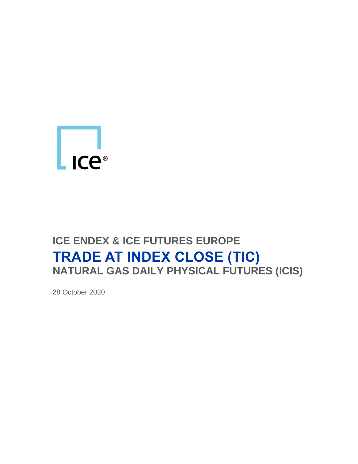

# **ICE ENDEX & ICE FUTURES EUROPE TRADE AT INDEX CLOSE (TIC) NATURAL GAS DAILY PHYSICAL FUTURES (ICIS)**

28 October 2020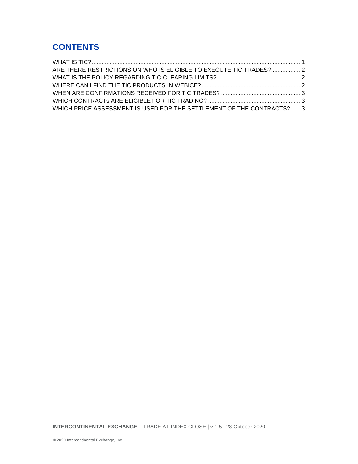## **CONTENTS**

| ARE THERE RESTRICTIONS ON WHO IS ELIGIBLE TO EXECUTE TIC TRADES? 2    |  |
|-----------------------------------------------------------------------|--|
|                                                                       |  |
|                                                                       |  |
|                                                                       |  |
|                                                                       |  |
| WHICH PRICE ASSESSMENT IS USED FOR THE SETTLEMENT OF THE CONTRACTS? 3 |  |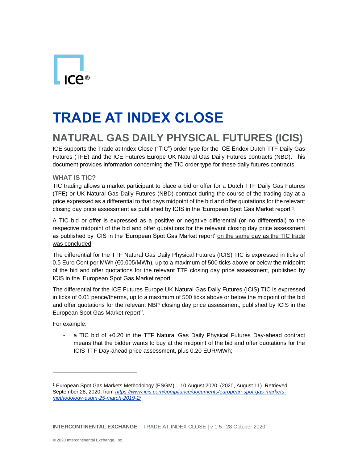# **TRADE AT INDEX CLOSE**

# **NATURAL GAS DAILY PHYSICAL FUTURES (ICIS)**

ICE supports the Trade at Index Close ("TIC") order type for the ICE Endex Dutch TTF Daily Gas Futures (TFE) and the ICE Futures Europe UK Natural Gas Daily Futures contracts (NBD). This document provides information concerning the TIC order type for these daily futures contracts.

#### <span id="page-2-0"></span>**WHAT IS TIC?**

TIC trading allows a market participant to place a bid or offer for a Dutch TTF Daily Gas Futures (TFE) or UK Natural Gas Daily Futures (NBD) contract during the course of the trading day at a price expressed as a differential to that days midpoint of the bid and offer quotations for the relevant closing day price assessment as published by ICIS in the 'European Spot Gas Market report'<sup>1</sup> .

A TIC bid or offer is expressed as a positive or negative differential (or no differential) to the respective midpoint of the bid and offer quotations for the relevant closing day price assessment as published by ICIS in the 'European Spot Gas Market report' on the same day as the TIC trade was concluded.

The differential for the TTF Natural Gas Daily Physical Futures (ICIS) TIC is expressed in ticks of 0.5 Euro Cent per MWh (€0.005/MWh), up to a maximum of 500 ticks above or below the midpoint of the bid and offer quotations for the relevant TTF closing day price assessment, published by ICIS in the 'European Spot Gas Market report'.

The differential for the ICE Futures Europe UK Natural Gas Daily Futures (ICIS) TIC is expressed in ticks of 0.01 pence/therms, up to a maximum of 500 ticks above or below the midpoint of the bid and offer quotations for the relevant NBP closing day price assessment, published by ICIS in the European Spot Gas Market report''.

For example:

- a TIC bid of +0.20 in the TTF Natural Gas Daily Physical Futures Day-ahead contract means that the bidder wants to buy at the midpoint of the bid and offer quotations for the ICIS TTF Day-ahead price assessment, plus 0.20 EUR/MWh;

<sup>1</sup> European Spot Gas Markets Methodology (ESGM) – 10 August 2020. (2020, August 11). Retrieved September 28, 2020, from *[https://www.icis.com/compliance/documents/european-spot-gas-markets](https://www.icis.com/compliance/documents/european-spot-gas-markets-methodology-esgm-25-march-2019-2/)[methodology-esgm-25-march-2019-2/](https://www.icis.com/compliance/documents/european-spot-gas-markets-methodology-esgm-25-march-2019-2/)*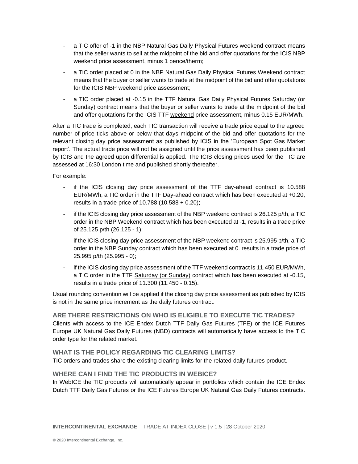- a TIC offer of -1 in the NBP Natural Gas Daily Physical Futures weekend contract means that the seller wants to sell at the midpoint of the bid and offer quotations for the ICIS NBP weekend price assessment, minus 1 pence/therm;
- a TIC order placed at 0 in the NBP Natural Gas Daily Physical Futures Weekend contract means that the buyer or seller wants to trade at the midpoint of the bid and offer quotations for the ICIS NBP weekend price assessment;
- a TIC order placed at -0.15 in the TTF Natural Gas Daily Physical Futures Saturday (or Sunday) contract means that the buyer or seller wants to trade at the midpoint of the bid and offer quotations for the ICIS TTF weekend price assessment, minus 0.15 EUR/MWh.

After a TIC trade is completed, each TIC transaction will receive a trade price equal to the agreed number of price ticks above or below that days midpoint of the bid and offer quotations for the relevant closing day price assessment as published by ICIS in the 'European Spot Gas Market report'. The actual trade price will not be assigned until the price assessment has been published by ICIS and the agreed upon differential is applied. The ICIS closing prices used for the TIC are assessed at 16:30 London time and published shortly thereafter.

For example:

- if the ICIS closing day price assessment of the TTF day-ahead contract is 10.588 EUR/MWh, a TIC order in the TTF Day-ahead contract which has been executed at +0.20, results in a trade price of 10.788 (10.588 + 0.20);
- if the ICIS closing day price assessment of the NBP weekend contract is 26.125 p/th, a TIC order in the NBP Weekend contract which has been executed at -1, results in a trade price of 25.125 p/th (26.125 - 1);
- if the ICIS closing day price assessment of the NBP weekend contract is 25.995 p/th, a TIC order in the NBP Sunday contract which has been executed at 0. results in a trade price of 25.995 p/th (25.995 - 0);
- if the ICIS closing day price assessment of the TTF weekend contract is 11.450 EUR/MWh, a TIC order in the TTF Saturday (or Sunday) contract which has been executed at -0.15, results in a trade price of 11.300 (11.450 - 0.15).

Usual rounding convention will be applied if the closing day price assessment as published by ICIS is not in the same price increment as the daily futures contract.

<span id="page-3-0"></span>**ARE THERE RESTRICTIONS ON WHO IS ELIGIBLE TO EXECUTE TIC TRADES?** Clients with access to the ICE Endex Dutch TTF Daily Gas Futures (TFE) or the ICE Futures Europe UK Natural Gas Daily Futures (NBD) contracts will automatically have access to the TIC order type for the related market.

#### <span id="page-3-1"></span>**WHAT IS THE POLICY REGARDING TIC CLEARING LIMITS?**

TIC orders and trades share the existing clearing limits for the related daily futures product.

#### <span id="page-3-2"></span>**WHERE CAN I FIND THE TIC PRODUCTS IN WEBICE?**

In WebICE the TIC products will automatically appear in portfolios which contain the ICE Endex Dutch TTF Daily Gas Futures or the ICE Futures Europe UK Natural Gas Daily Futures contracts.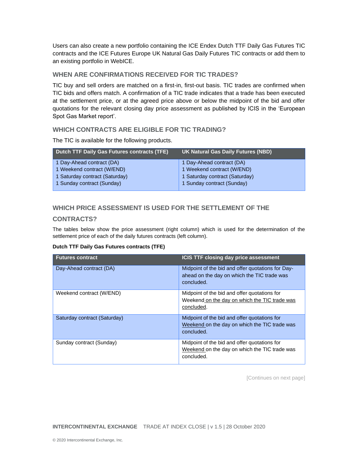Users can also create a new portfolio containing the ICE Endex Dutch TTF Daily Gas Futures TIC contracts and the ICE Futures Europe UK Natural Gas Daily Futures TIC contracts or add them to an existing portfolio in WebICE.

#### <span id="page-4-0"></span>**WHEN ARE CONFIRMATIONS RECEIVED FOR TIC TRADES?**

TIC buy and sell orders are matched on a first-in, first-out basis. TIC trades are confirmed when TIC bids and offers match. A confirmation of a TIC trade indicates that a trade has been executed at the settlement price, or at the agreed price above or below the midpoint of the bid and offer quotations for the relevant closing day price assessment as published by ICIS in the 'European Spot Gas Market report'.

#### <span id="page-4-1"></span>**WHICH CONTRACTS ARE ELIGIBLE FOR TIC TRADING?**

The TIC is available for the following products.

| <b>Dutch TTF Daily Gas Futures contracts (TFE)</b> | UK Natural Gas Daily Futures (NBD) |
|----------------------------------------------------|------------------------------------|
| 1 Day-Ahead contract (DA)                          | 1 Day-Ahead contract (DA)          |
| 1 Weekend contract (W/END)                         | 1 Weekend contract (W/END)         |
| 1 Saturday contract (Saturday)                     | 1 Saturday contract (Saturday)     |
| 1 Sunday contract (Sunday)                         | 1 Sunday contract (Sunday)         |

### <span id="page-4-2"></span>**WHICH PRICE ASSESSMENT IS USED FOR THE SETTLEMENT OF THE**

#### **CONTRACTS?**

The tables below show the price assessment (right column) which is used for the determination of the settlement price of each of the daily futures contracts (left column).

#### **Dutch TTF Daily Gas Futures contracts (TFE)**

| <b>Futures contract</b>      | <b>ICIS TTF closing day price assessment</b>                                                                   |
|------------------------------|----------------------------------------------------------------------------------------------------------------|
| Day-Ahead contract (DA)      | Midpoint of the bid and offer quotations for Day-<br>ahead on the day on which the TIC trade was<br>concluded. |
| Weekend contract (W/END)     | Midpoint of the bid and offer quotations for<br>Weekend on the day on which the TIC trade was<br>concluded.    |
| Saturday contract (Saturday) | Midpoint of the bid and offer quotations for<br>Weekend on the day on which the TIC trade was<br>concluded.    |
| Sunday contract (Sunday)     | Midpoint of the bid and offer quotations for<br>Weekend on the day on which the TIC trade was<br>concluded.    |

[Continues on next page]